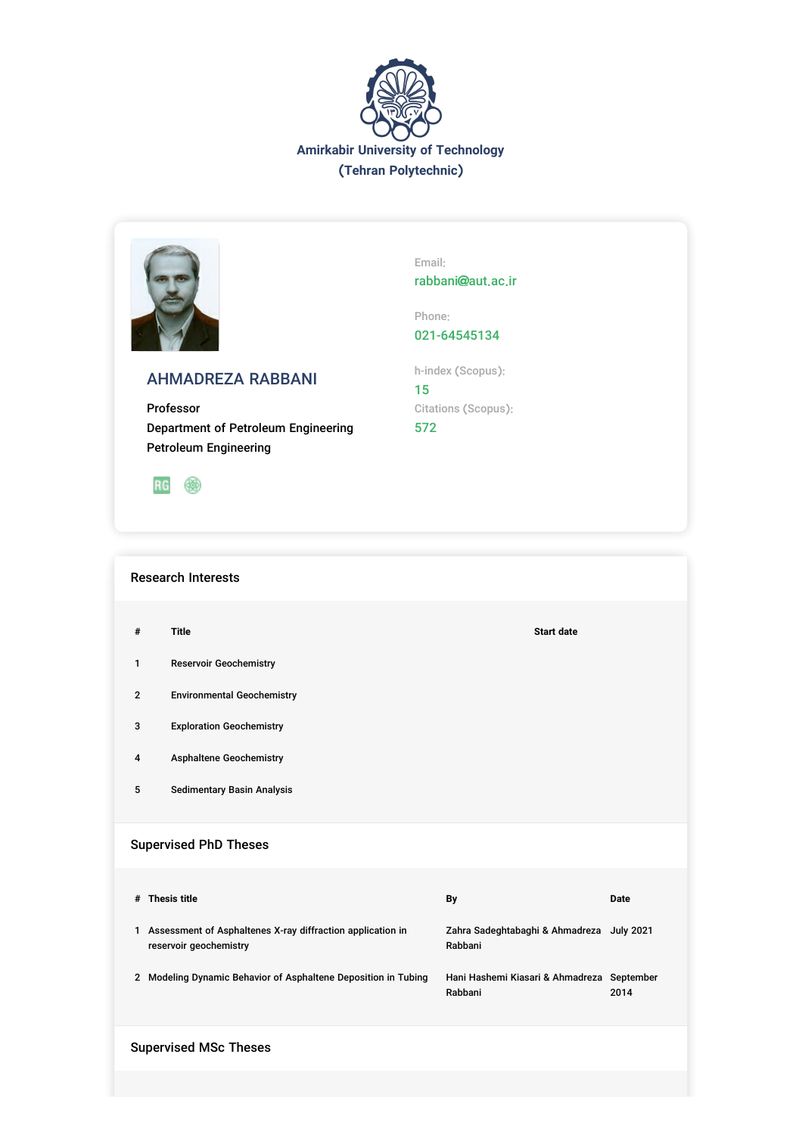



Email: rabbani@aut.ac.ir

Phone:

021-64545134

h-index (Scopus):

15 Citations (Scopus): 572

AHMADREZA RABBANI

Professor Department of Petroleum Engineering Petroleum Engineering



Research Interests

- **# Title Start date**
- 1 Reservoir Geochemistry
- 2 Environmental Geochemistry
- 3 Exploration Geochemistry
- 4 Asphaltene Geochemistry
- 5 Sedimentary Basin Analysis

# Supervised PhD Theses

| # | <b>Thesis title</b>                                                                  | By                                                    | Date |
|---|--------------------------------------------------------------------------------------|-------------------------------------------------------|------|
| 1 | Assessment of Asphaltenes X-ray diffraction application in<br>reservoir geochemistry | Zahra Sadeghtabaghi & Ahmadreza July 2021<br>Rabbani  |      |
|   | Modeling Dynamic Behavior of Asphaltene Deposition in Tubing                         | Hani Hashemi Kiasari & Ahmadreza September<br>Rabbani | 2014 |

Supervised MSc Theses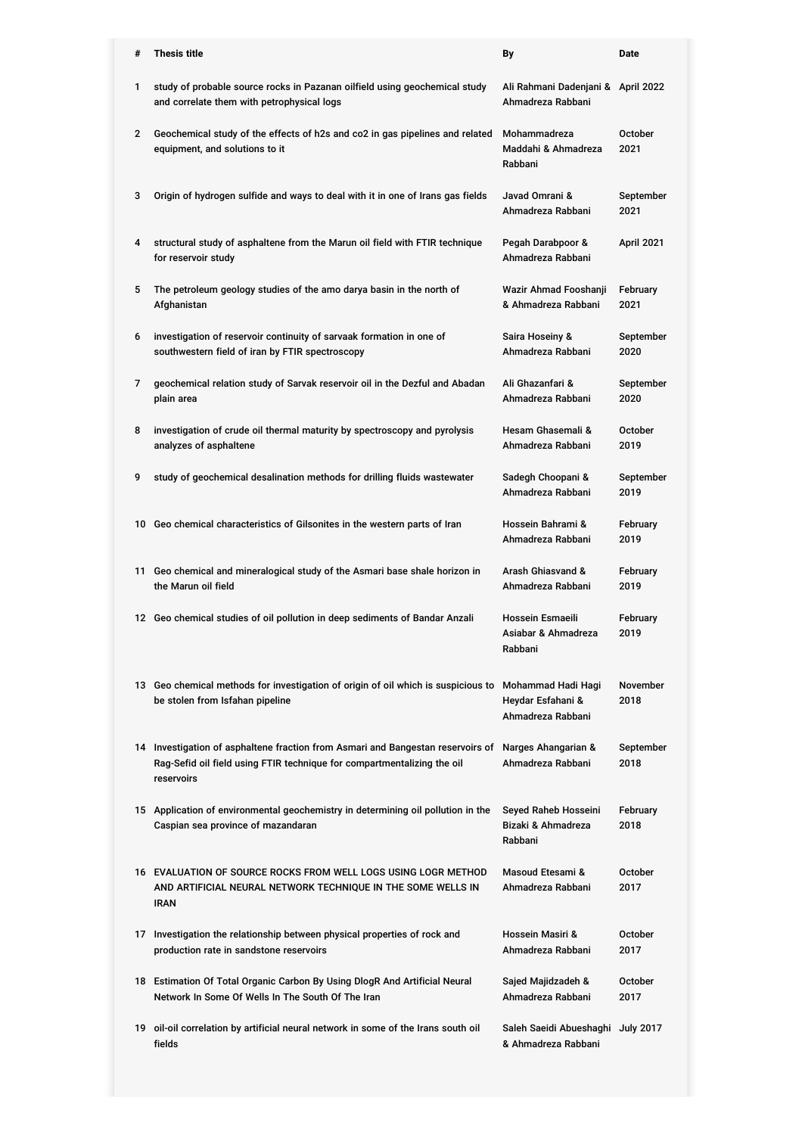| #            | <b>Thesis title</b>                                                                                                                                                      | By                                                           | Date                   |
|--------------|--------------------------------------------------------------------------------------------------------------------------------------------------------------------------|--------------------------------------------------------------|------------------------|
| 1            | study of probable source rocks in Pazanan oilfield using geochemical study<br>and correlate them with petrophysical logs                                                 | Ali Rahmani Dadenjani & April 2022<br>Ahmadreza Rabbani      |                        |
| $\mathbf{2}$ | Geochemical study of the effects of h2s and co2 in gas pipelines and related<br>equipment, and solutions to it                                                           | Mohammadreza<br>Maddahi & Ahmadreza<br>Rabbani               | October<br>2021        |
| 3            | Origin of hydrogen sulfide and ways to deal with it in one of Irans gas fields                                                                                           | Javad Omrani &<br>Ahmadreza Rabbani                          | September<br>2021      |
| 4            | structural study of asphaltene from the Marun oil field with FTIR technique<br>for reservoir study                                                                       | Pegah Darabpoor &<br>Ahmadreza Rabbani                       | April 2021             |
| 5            | The petroleum geology studies of the amo darya basin in the north of<br>Afghanistan                                                                                      | Wazir Ahmad Fooshanji<br>& Ahmadreza Rabbani                 | February<br>2021       |
| 6            | investigation of reservoir continuity of sarvaak formation in one of<br>southwestern field of iran by FTIR spectroscopy                                                  | Saira Hoseiny &<br>Ahmadreza Rabbani                         | September<br>2020      |
| 7            | geochemical relation study of Sarvak reservoir oil in the Dezful and Abadan<br>plain area                                                                                | Ali Ghazanfari &<br>Ahmadreza Rabbani                        | September<br>2020      |
| 8            | investigation of crude oil thermal maturity by spectroscopy and pyrolysis<br>analyzes of asphaltene                                                                      | Hesam Ghasemali &<br>Ahmadreza Rabbani                       | October<br>2019        |
| 9            | study of geochemical desalination methods for drilling fluids wastewater                                                                                                 | Sadegh Choopani &<br>Ahmadreza Rabbani                       | September<br>2019      |
|              | 10 Geo chemical characteristics of Gilsonites in the western parts of Iran                                                                                               | Hossein Bahrami &<br>Ahmadreza Rabbani                       | February<br>2019       |
|              | 11 Geo chemical and mineralogical study of the Asmari base shale horizon in<br>the Marun oil field                                                                       | Arash Ghiasvand &<br>Ahmadreza Rabbani                       | February<br>2019       |
|              | 12 Geo chemical studies of oil pollution in deep sediments of Bandar Anzali                                                                                              | Hossein Esmaeili<br>Asiabar & Ahmadreza<br>Rabbani           | February<br>2019       |
|              | 13 Geo chemical methods for investigation of origin of oil which is suspicious to<br>be stolen from Isfahan pipeline                                                     | Mohammad Hadi Hagi<br>Heydar Esfahani &<br>Ahmadreza Rabbani | November<br>2018       |
|              | 14 Investigation of asphaltene fraction from Asmari and Bangestan reservoirs of<br>Rag-Sefid oil field using FTIR technique for compartmentalizing the oil<br>reservoirs | Narges Ahangarian &<br>Ahmadreza Rabbani                     | September<br>2018      |
|              | 15 Application of environmental geochemistry in determining oil pollution in the<br>Caspian sea province of mazandaran                                                   | Seyed Raheb Hosseini<br>Bizaki & Ahmadreza<br>Rabbani        | February<br>2018       |
|              | 16 EVALUATION OF SOURCE ROCKS FROM WELL LOGS USING LOGR METHOD<br>AND ARTIFICIAL NEURAL NETWORK TECHNIQUE IN THE SOME WELLS IN<br><b>IRAN</b>                            | Masoud Etesami &<br>Ahmadreza Rabbani                        | October<br>2017        |
|              | 17 Investigation the relationship between physical properties of rock and<br>production rate in sandstone reservoirs                                                     | Hossein Masiri &<br>Ahmadreza Rabbani                        | <b>October</b><br>2017 |
|              | 18 Estimation Of Total Organic Carbon By Using DlogR And Artificial Neural<br>Network In Some Of Wells In The South Of The Iran                                          | Sajed Majidzadeh &<br>Ahmadreza Rabbani                      | October<br>2017        |
|              | 19 oil-oil correlation by artificial neural network in some of the Irans south oil<br>fields                                                                             | Saleh Saeidi Abueshaghi July 2017<br>& Ahmadreza Rabbani     |                        |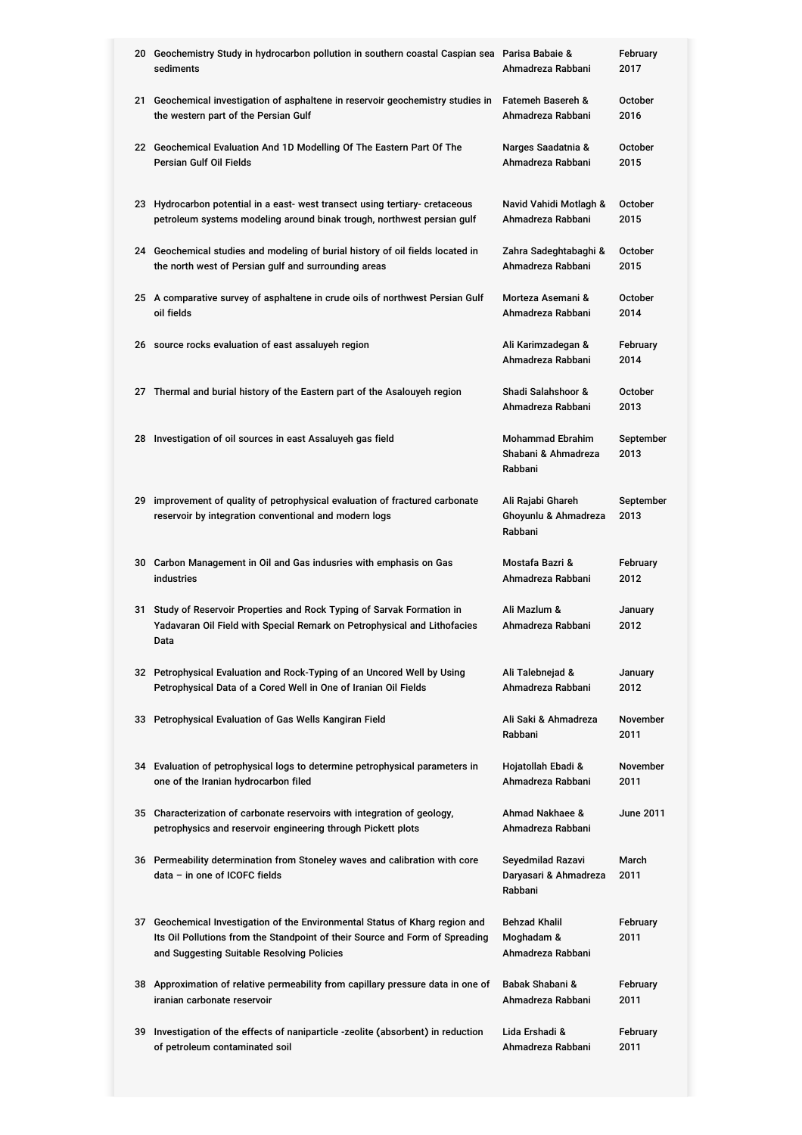|    | 20 Geochemistry Study in hydrocarbon pollution in southern coastal Caspian sea Parisa Babaie &<br>sediments                                                                                                | Ahmadreza Rabbani                                         | February<br>2017        |
|----|------------------------------------------------------------------------------------------------------------------------------------------------------------------------------------------------------------|-----------------------------------------------------------|-------------------------|
|    | 21 Geochemical investigation of asphaltene in reservoir geochemistry studies in<br>the western part of the Persian Gulf                                                                                    | Fatemeh Basereh &<br>Ahmadreza Rabbani                    | <b>October</b><br>2016  |
|    | 22 Geochemical Evaluation And 1D Modelling Of The Eastern Part Of The<br>Persian Gulf Oil Fields                                                                                                           | Narges Saadatnia &<br>Ahmadreza Rabbani                   | October<br>2015         |
|    | 23 Hydrocarbon potential in a east- west transect using tertiary- cretaceous<br>petroleum systems modeling around binak trough, northwest persian gulf                                                     | Navid Vahidi Motlagh &<br>Ahmadreza Rabbani               | October<br>2015         |
|    | 24 Geochemical studies and modeling of burial history of oil fields located in<br>the north west of Persian gulf and surrounding areas                                                                     | Zahra Sadeghtabaghi &<br>Ahmadreza Rabbani                | October<br>2015         |
|    | 25 A comparative survey of asphaltene in crude oils of northwest Persian Gulf<br>oil fields                                                                                                                | Morteza Asemani &<br>Ahmadreza Rabbani                    | October<br>2014         |
|    | 26 source rocks evaluation of east assaluyeh region                                                                                                                                                        | Ali Karimzadegan &<br>Ahmadreza Rabbani                   | February<br>2014        |
|    | 27 Thermal and burial history of the Eastern part of the Asalouyeh region                                                                                                                                  | Shadi Salahshoor &<br>Ahmadreza Rabbani                   | October<br>2013         |
|    | 28 Investigation of oil sources in east Assaluyeh gas field                                                                                                                                                | <b>Mohammad Ebrahim</b><br>Shabani & Ahmadreza<br>Rabbani | September<br>2013       |
| 29 | improvement of quality of petrophysical evaluation of fractured carbonate<br>reservoir by integration conventional and modern logs                                                                         | Ali Rajabi Ghareh<br>Ghoyunlu & Ahmadreza<br>Rabbani      | September<br>2013       |
|    | 30 Carbon Management in Oil and Gas indusries with emphasis on Gas<br><b>industries</b>                                                                                                                    | Mostafa Bazri &<br>Ahmadreza Rabbani                      | February<br>2012        |
| 31 | Study of Reservoir Properties and Rock Typing of Sarvak Formation in<br>Yadavaran Oil Field with Special Remark on Petrophysical and Lithofacies<br>Data                                                   | Ali Mazlum &<br>Ahmadreza Rabbani                         | January<br>2012         |
|    | 32 Petrophysical Evaluation and Rock-Typing of an Uncored Well by Using<br>Petrophysical Data of a Cored Well in One of Iranian Oil Fields                                                                 | Ali Talebnejad &<br>Ahmadreza Rabbani                     | January<br>2012         |
| 33 | Petrophysical Evaluation of Gas Wells Kangiran Field                                                                                                                                                       | Ali Saki & Ahmadreza<br>Rabbani                           | <b>November</b><br>2011 |
|    | 34 Evaluation of petrophysical logs to determine petrophysical parameters in<br>one of the Iranian hydrocarbon filed                                                                                       | Hojatollah Ebadi &<br>Ahmadreza Rabbani                   | <b>November</b><br>2011 |
|    | 35 Characterization of carbonate reservoirs with integration of geology,<br>petrophysics and reservoir engineering through Pickett plots                                                                   | Ahmad Nakhaee &<br>Ahmadreza Rabbani                      | <b>June 2011</b>        |
|    | 36 Permeability determination from Stoneley waves and calibration with core<br>data - in one of ICOFC fields                                                                                               | Seyedmilad Razavi<br>Daryasari & Ahmadreza<br>Rabbani     | March<br>2011           |
|    | 37 Geochemical Investigation of the Environmental Status of Kharg region and<br>Its Oil Pollutions from the Standpoint of their Source and Form of Spreading<br>and Suggesting Suitable Resolving Policies | <b>Behzad Khalil</b><br>Moghadam &<br>Ahmadreza Rabbani   | February<br>2011        |
|    | 38 Approximation of relative permeability from capillary pressure data in one of<br>iranian carbonate reservoir                                                                                            | Babak Shabani &<br>Ahmadreza Rabbani                      | February<br>2011        |
| 39 | Investigation of the effects of naniparticle -zeolite (absorbent) in reduction                                                                                                                             | Lida Ershadi &                                            |                         |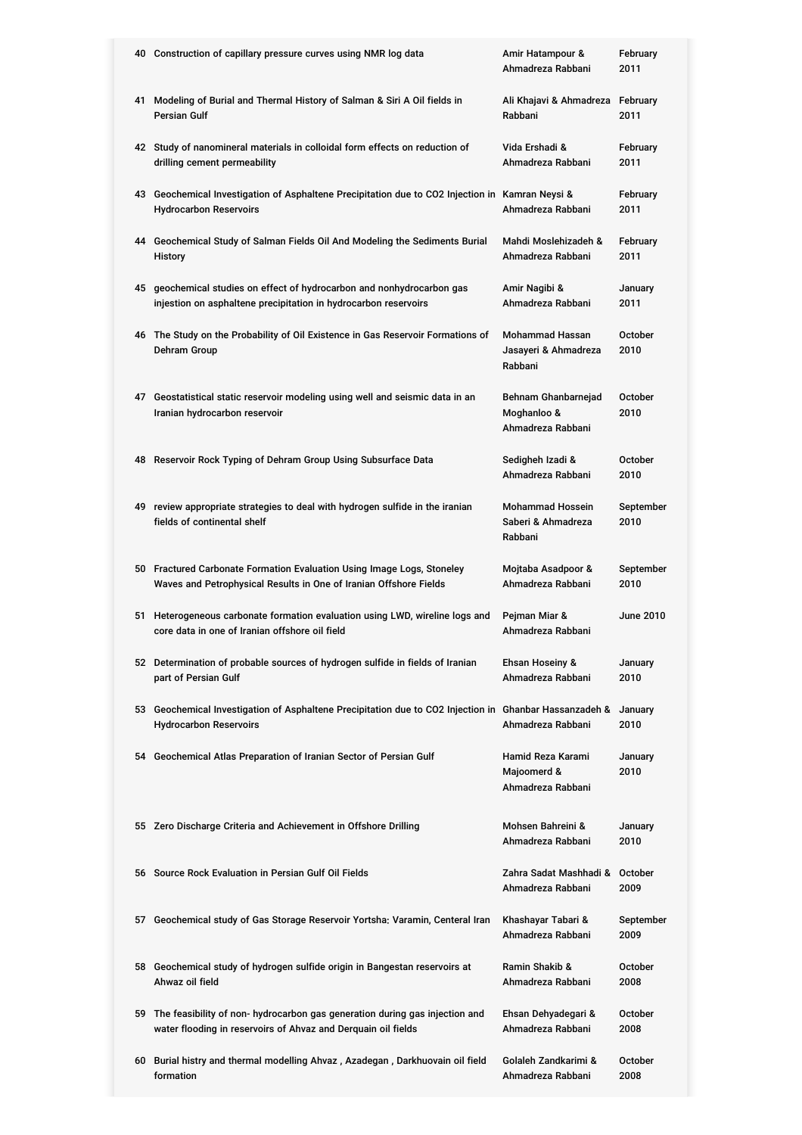| 40 Construction of capillary pressure curves using NMR log data                                                                                 | Amir Hatampour &<br>Ahmadreza Rabbani                     | February<br>2011       |
|-------------------------------------------------------------------------------------------------------------------------------------------------|-----------------------------------------------------------|------------------------|
| 41 Modeling of Burial and Thermal History of Salman & Siri A Oil fields in<br><b>Persian Gulf</b>                                               | Ali Khajavi & Ahmadreza<br>Rabbani                        | February<br>2011       |
| 42 Study of nanomineral materials in colloidal form effects on reduction of<br>drilling cement permeability                                     | Vida Ershadi &<br>Ahmadreza Rabbani                       | February<br>2011       |
| 43 Geochemical Investigation of Asphaltene Precipitation due to CO2 Injection in Kamran Neysi &<br><b>Hydrocarbon Reservoirs</b>                | Ahmadreza Rabbani                                         | February<br>2011       |
| 44 Geochemical Study of Salman Fields Oil And Modeling the Sediments Burial<br>History                                                          | Mahdi Moslehizadeh &<br>Ahmadreza Rabbani                 | February<br>2011       |
| 45 geochemical studies on effect of hydrocarbon and nonhydrocarbon gas<br>injestion on asphaltene precipitation in hydrocarbon reservoirs       | Amir Nagibi &<br>Ahmadreza Rabbani                        | January<br>2011        |
| 46 The Study on the Probability of Oil Existence in Gas Reservoir Formations of<br>Dehram Group                                                 | <b>Mohammad Hassan</b><br>Jasayeri & Ahmadreza<br>Rabbani | <b>October</b><br>2010 |
| 47 Geostatistical static reservoir modeling using well and seismic data in an<br>Iranian hydrocarbon reservoir                                  | Behnam Ghanbarnejad<br>Moghanloo &<br>Ahmadreza Rabbani   | October<br>2010        |
| 48 Reservoir Rock Typing of Dehram Group Using Subsurface Data                                                                                  | Sedigheh Izadi &<br>Ahmadreza Rabbani                     | <b>October</b><br>2010 |
| 49 review appropriate strategies to deal with hydrogen sulfide in the iranian<br>fields of continental shelf                                    | <b>Mohammad Hossein</b><br>Saberi & Ahmadreza<br>Rabbani  | September<br>2010      |
| 50 Fractured Carbonate Formation Evaluation Using Image Logs, Stoneley<br>Waves and Petrophysical Results in One of Iranian Offshore Fields     | Mojtaba Asadpoor &<br>Ahmadreza Rabbani                   | September<br>2010      |
| 51 Heterogeneous carbonate formation evaluation using LWD, wireline logs and<br>core data in one of Iranian offshore oil field                  | Pejman Miar &<br>Ahmadreza Rabbani                        | June 2010              |
| 52 Determination of probable sources of hydrogen sulfide in fields of Iranian<br>part of Persian Gulf                                           | <b>Ehsan Hoseiny &amp;</b><br>Ahmadreza Rabbani           | January<br>2010        |
| 53 Geochemical Investigation of Asphaltene Precipitation due to CO2 Injection in Ghanbar Hassanzadeh &<br><b>Hydrocarbon Reservoirs</b>         | Ahmadreza Rabbani                                         | January<br>2010        |
| 54 Geochemical Atlas Preparation of Iranian Sector of Persian Gulf                                                                              | Hamid Reza Karami<br>Majoomerd &<br>Ahmadreza Rabbani     | January<br>2010        |
| 55 Zero Discharge Criteria and Achievement in Offshore Drilling                                                                                 | Mohsen Bahreini &<br>Ahmadreza Rabbani                    | January<br>2010        |
| 56 Source Rock Evaluation in Persian Gulf Oil Fields                                                                                            | Zahra Sadat Mashhadi &<br>Ahmadreza Rabbani               | October<br>2009        |
| 57 Geochemical study of Gas Storage Reservoir Yortsha: Varamin, Centeral Iran                                                                   | Khashayar Tabari &<br>Ahmadreza Rabbani                   | September<br>2009      |
| 58 Geochemical study of hydrogen sulfide origin in Bangestan reservoirs at<br>Ahwaz oil field                                                   | Ramin Shakib &<br>Ahmadreza Rabbani                       | <b>October</b><br>2008 |
| 59 The feasibility of non- hydrocarbon gas generation during gas injection and<br>water flooding in reservoirs of Ahvaz and Derquain oil fields | Ehsan Dehyadegari &<br>Ahmadreza Rabbani                  | October<br>2008        |
| 60 Burial histry and thermal modelling Ahvaz, Azadegan, Darkhuovain oil field<br>formation                                                      | Golaleh Zandkarimi &<br>Ahmadreza Rabbani                 | October<br>2008        |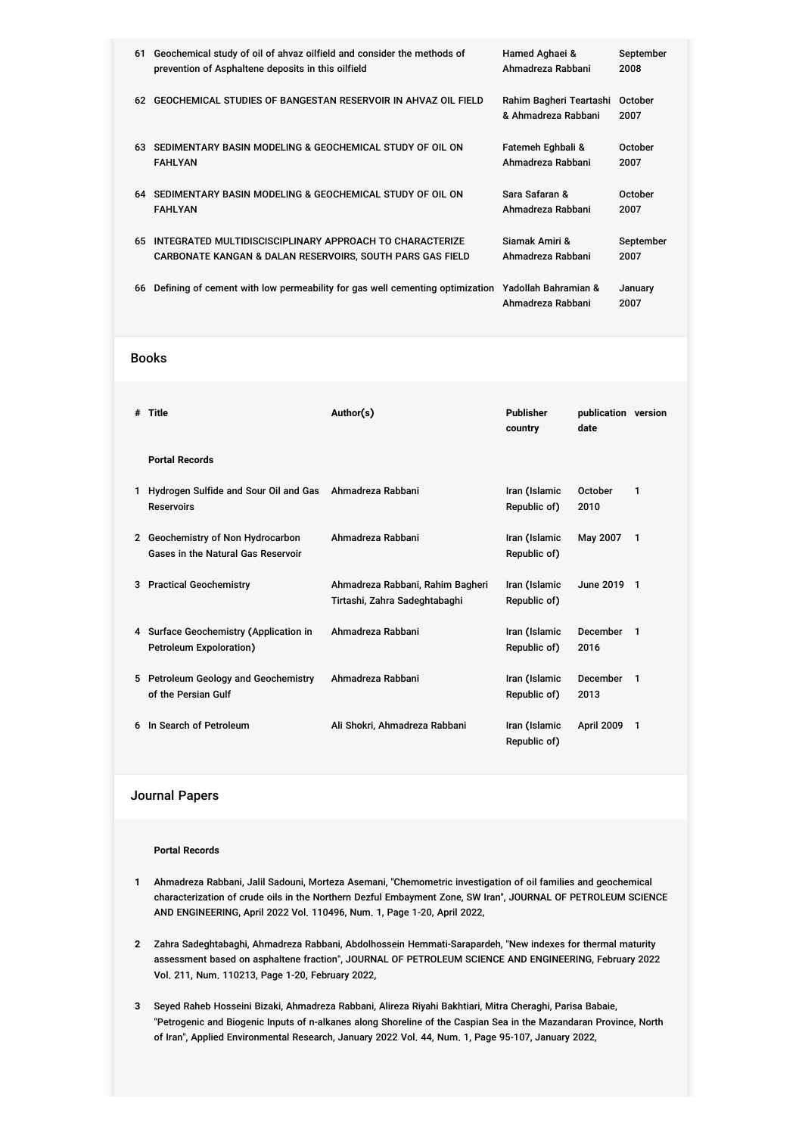| 61 | Geochemical study of oil of ahvaz oilfield and consider the methods of                            | Hamed Aghaei &                                 | September       |
|----|---------------------------------------------------------------------------------------------------|------------------------------------------------|-----------------|
|    | prevention of Asphaltene deposits in this oilfield                                                | Ahmadreza Rabbani                              | 2008            |
| 62 | GEOCHEMICAL STUDIES OF BANGESTAN RESERVOIR IN AHVAZ OIL FIELD                                     | Rahim Bagheri Teartashi<br>& Ahmadreza Rabbani | October<br>2007 |
| 63 | SEDIMENTARY BASIN MODELING & GEOCHEMICAL STUDY OF OIL ON                                          | Fatemeh Eghbali &                              | October         |
|    | <b>FAHLYAN</b>                                                                                    | Ahmadreza Rabbani                              | 2007            |
| 64 | SEDIMENTARY BASIN MODELING & GEOCHEMICAL STUDY OF OIL ON                                          | Sara Safaran &                                 | October         |
|    | <b>FAHLYAN</b>                                                                                    | Ahmadreza Rabbani                              | 2007            |
| 65 | INTEGRATED MULTIDISCISCIPLINARY APPROACH TO CHARACTERIZE                                          | Siamak Amiri &                                 | September       |
|    | <b>CARBONATE KANGAN &amp; DALAN RESERVOIRS, SOUTH PARS GAS FIELD</b>                              | Ahmadreza Rabbani                              | 2007            |
| 66 | Defining of cement with low permeability for gas well cementing optimization Yadollah Bahramian & | Ahmadreza Rabbani                              | January<br>2007 |

### Books

| # | <b>Title</b>                                                                 | Author(s)<br>Publisher<br>country                                 |                               | publication version<br>date |              |
|---|------------------------------------------------------------------------------|-------------------------------------------------------------------|-------------------------------|-----------------------------|--------------|
|   | <b>Portal Records</b>                                                        |                                                                   |                               |                             |              |
| 1 | Hydrogen Sulfide and Sour Oil and Gas Ahmadreza Rabbani<br><b>Reservoirs</b> |                                                                   | Iran (Islamic<br>Republic of) | October<br>2010             | 1            |
|   | 2 Geochemistry of Non Hydrocarbon<br>Gases in the Natural Gas Reservoir      | Ahmadreza Rabbani                                                 | Iran (Islamic<br>Republic of) | May 2007                    | 1            |
|   | 3 Practical Geochemistry                                                     | Ahmadreza Rabbani, Rahim Bagheri<br>Tirtashi, Zahra Sadeghtabaghi | Iran (Islamic<br>Republic of) | June 2019 1                 |              |
|   | 4 Surface Geochemistry (Application in<br>Petroleum Expoloration)            | Ahmadreza Rabbani                                                 | Iran (Islamic<br>Republic of) | December<br>2016            | $\mathbf{1}$ |
|   | 5 Petroleum Geology and Geochemistry<br>of the Persian Gulf                  | Ahmadreza Rabbani                                                 | Iran (Islamic<br>Republic of) | December<br>2013            | $\mathbf 1$  |
| 6 | In Search of Petroleum                                                       | Ali Shokri, Ahmadreza Rabbani                                     | Iran (Islamic<br>Republic of) | April 2009                  | 1            |

## Journal Papers

#### **Portal Records**

- **1** Ahmadreza Rabbani, Jalil Sadouni, Morteza Asemani, "Chemometric investigation of oil families and geochemical characterization of crude oils in the Northern Dezful Embayment Zone, SW Iran", JOURNAL OF PETROLEUM SCIENCE AND ENGINEERING, April 2022 Vol. 110496, Num. 1, Page 1-20, April 2022,
- **2** Zahra Sadeghtabaghi, Ahmadreza Rabbani, Abdolhossein Hemmati-Sarapardeh, "New indexes for thermal maturity assessment based on asphaltene fraction", JOURNAL OF PETROLEUM SCIENCE AND ENGINEERING, February 2022 Vol. 211, Num. 110213, Page 1-20, February 2022,
- **3** Seyed Raheb Hosseini Bizaki, Ahmadreza Rabbani, Alireza Riyahi Bakhtiari, Mitra Cheraghi, Parisa Babaie, "Petrogenic and Biogenic Inputs of n-alkanes along Shoreline of the Caspian Sea in the Mazandaran Province, North of Iran", Applied Environmental Research, January 2022 Vol. 44, Num. 1, Page 95-107, January 2022,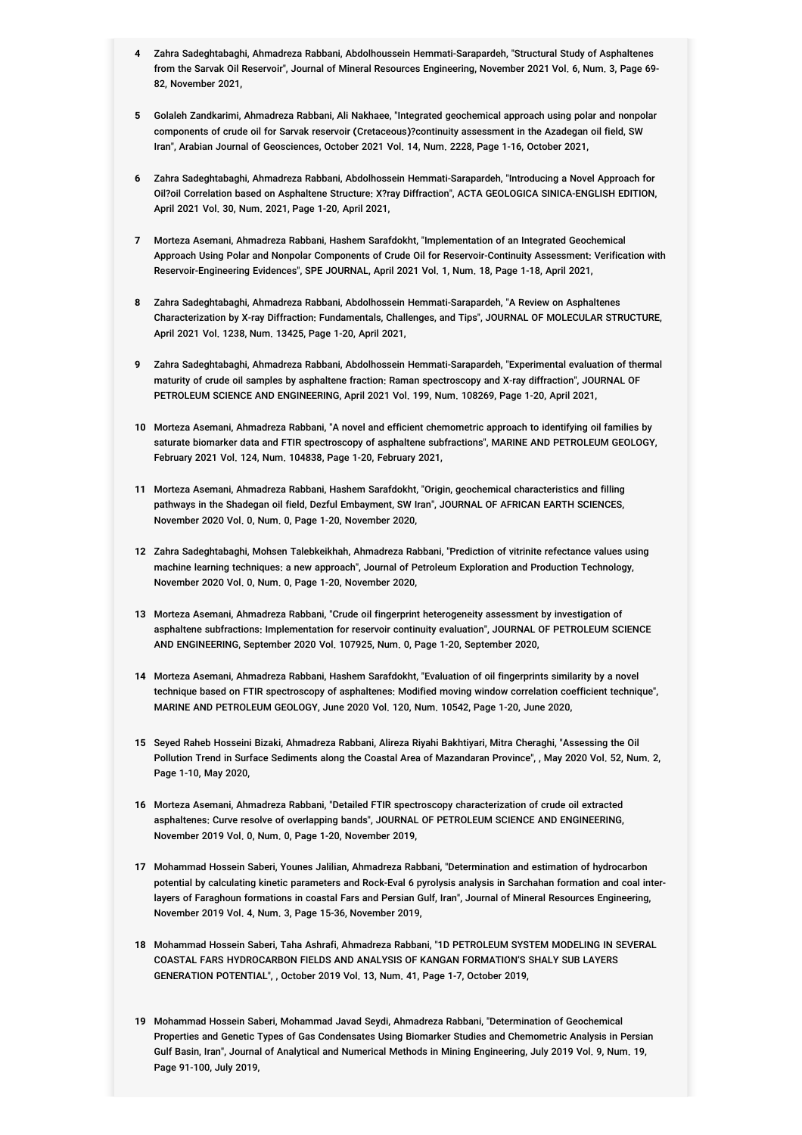- **4** Zahra Sadeghtabaghi, Ahmadreza Rabbani, Abdolhoussein Hemmati-Sarapardeh, "Structural Study of Asphaltenes from the Sarvak Oil Reservoir", Journal of Mineral Resources Engineering, November 2021 Vol. 6, Num. 3, Page 69- 82, November 2021,
- **5** Golaleh Zandkarimi, Ahmadreza Rabbani, Ali Nakhaee, "Integrated geochemical approach using polar and nonpolar components of crude oil for Sarvak reservoir (Cretaceous)?continuity assessment in the Azadegan oil field, SW Iran", Arabian Journal of Geosciences, October 2021 Vol. 14, Num. 2228, Page 1-16, October 2021,
- **6** Zahra Sadeghtabaghi, Ahmadreza Rabbani, Abdolhossein Hemmati-Sarapardeh, "Introducing a Novel Approach for Oil?oil Correlation based on Asphaltene Structure: X?ray Diffraction", ACTA GEOLOGICA SINICA-ENGLISH EDITION, April 2021 Vol. 30, Num. 2021, Page 1-20, April 2021,
- **7** Morteza Asemani, Ahmadreza Rabbani, Hashem Sarafdokht, "Implementation of an Integrated Geochemical Approach Using Polar and Nonpolar Components of Crude Oil for Reservoir-Continuity Assessment: Verification with Reservoir-Engineering Evidences", SPE JOURNAL, April 2021 Vol. 1, Num. 18, Page 1-18, April 2021,
- **8** Zahra Sadeghtabaghi, Ahmadreza Rabbani, Abdolhossein Hemmati-Sarapardeh, "A Review on Asphaltenes Characterization by X-ray Diffraction: Fundamentals, Challenges, and Tips", JOURNAL OF MOLECULAR STRUCTURE, April 2021 Vol. 1238, Num. 13425, Page 1-20, April 2021,
- **9** Zahra Sadeghtabaghi, Ahmadreza Rabbani, Abdolhossein Hemmati-Sarapardeh, "Experimental evaluation of thermal maturity of crude oil samples by asphaltene fraction: Raman spectroscopy and X-ray diffraction", JOURNAL OF PETROLEUM SCIENCE AND ENGINEERING, April 2021 Vol. 199, Num. 108269, Page 1-20, April 2021,
- **10** Morteza Asemani, Ahmadreza Rabbani, "A novel and efficient chemometric approach to identifying oil families by saturate biomarker data and FTIR spectroscopy of asphaltene subfractions", MARINE AND PETROLEUM GEOLOGY, February 2021 Vol. 124, Num. 104838, Page 1-20, February 2021,
- **11** Morteza Asemani, Ahmadreza Rabbani, Hashem Sarafdokht, "Origin, geochemical characteristics and filling pathways in the Shadegan oil field, Dezful Embayment, SW Iran", JOURNAL OF AFRICAN EARTH SCIENCES, November 2020 Vol. 0, Num. 0, Page 1-20, November 2020,
- **12** Zahra Sadeghtabaghi, Mohsen Talebkeikhah, Ahmadreza Rabbani, "Prediction of vitrinite refectance values using machine learning techniques: a new approach", Journal of Petroleum Exploration and Production Technology, November 2020 Vol. 0, Num. 0, Page 1-20, November 2020,
- **13** Morteza Asemani, Ahmadreza Rabbani, "Crude oil fingerprint heterogeneity assessment by investigation of asphaltene subfractions: Implementation for reservoir continuity evaluation", JOURNAL OF PETROLEUM SCIENCE AND ENGINEERING, September 2020 Vol. 107925, Num. 0, Page 1-20, September 2020,
- **14** Morteza Asemani, Ahmadreza Rabbani, Hashem Sarafdokht, "Evaluation of oil fingerprints similarity by a novel technique based on FTIR spectroscopy of asphaltenes: Modified moving window correlation coefficient technique", MARINE AND PETROLEUM GEOLOGY, June 2020 Vol. 120, Num. 10542, Page 1-20, June 2020,
- **15** Seyed Raheb Hosseini Bizaki, Ahmadreza Rabbani, Alireza Riyahi Bakhtiyari, Mitra Cheraghi, "Assessing the Oil Pollution Trend in Surface Sediments along the Coastal Area of Mazandaran Province", , May 2020 Vol. 52, Num. 2, Page 1-10, May 2020,
- **16** Morteza Asemani, Ahmadreza Rabbani, "Detailed FTIR spectroscopy characterization of crude oil extracted asphaltenes: Curve resolve of overlapping bands", JOURNAL OF PETROLEUM SCIENCE AND ENGINEERING, November 2019 Vol. 0, Num. 0, Page 1-20, November 2019,
- **17** Mohammad Hossein Saberi, Younes Jalilian, Ahmadreza Rabbani, "Determination and estimation of hydrocarbon potential by calculating kinetic parameters and Rock-Eval 6 pyrolysis analysis in Sarchahan formation and coal interlayers of Faraghoun formations in coastal Fars and Persian Gulf, Iran", Journal of Mineral Resources Engineering, November 2019 Vol. 4, Num. 3, Page 15-36, November 2019,
- **18** Mohammad Hossein Saberi, Taha Ashrafi, Ahmadreza Rabbani, "1D PETROLEUM SYSTEM MODELING IN SEVERAL COASTAL FARS HYDROCARBON FIELDS AND ANALYSIS OF KANGAN FORMATION'S SHALY SUB LAYERS GENERATION POTENTIAL", , October 2019 Vol. 13, Num. 41, Page 1-7, October 2019,
- **19** Mohammad Hossein Saberi, Mohammad Javad Seydi, Ahmadreza Rabbani, "Determination of Geochemical Properties and Genetic Types of Gas Condensates Using Biomarker Studies and Chemometric Analysis in Persian Gulf Basin, Iran", Journal of Analytical and Numerical Methods in Mining Engineering, July 2019 Vol. 9, Num. 19, Page 91-100, July 2019,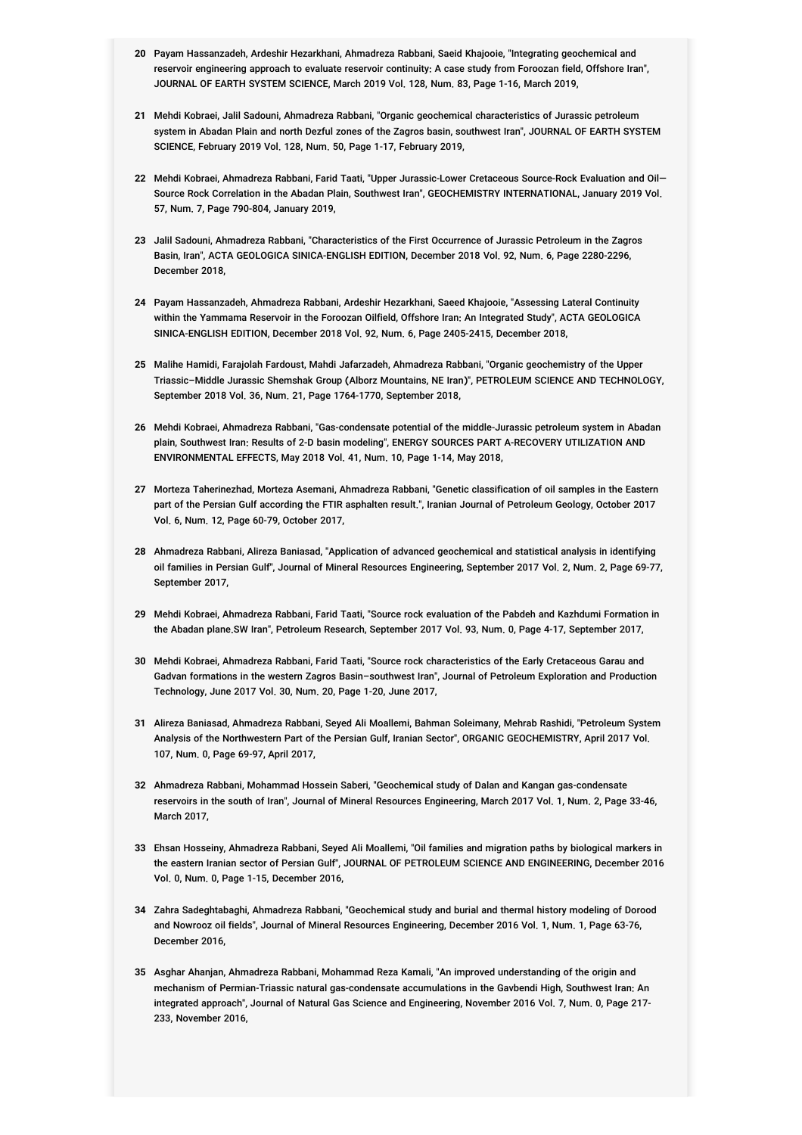- **20** Payam Hassanzadeh, Ardeshir Hezarkhani, Ahmadreza Rabbani, Saeid Khajooie, "Integrating geochemical and reservoir engineering approach to evaluate reservoir continuity: A case study from Foroozan field, Offshore Iran", JOURNAL OF EARTH SYSTEM SCIENCE, March 2019 Vol. 128, Num. 83, Page 1-16, March 2019,
- **21** Mehdi Kobraei, Jalil Sadouni, Ahmadreza Rabbani, "Organic geochemical characteristics of Jurassic petroleum system in Abadan Plain and north Dezful zones of the Zagros basin, southwest Iran", JOURNAL OF EARTH SYSTEM SCIENCE, February 2019 Vol. 128, Num. 50, Page 1-17, February 2019,
- **22** Mehdi Kobraei, Ahmadreza Rabbani, Farid Taati, "Upper Jurassic-Lower Cretaceous Source-Rock Evaluation and Oil— Source Rock Correlation in the Abadan Plain, Southwest Iran", GEOCHEMISTRY INTERNATIONAL, January 2019 Vol. 57, Num. 7, Page 790-804, January 2019,
- **23** Jalil Sadouni, Ahmadreza Rabbani, "Characteristics of the First Occurrence of Jurassic Petroleum in the Zagros Basin, Iran", ACTA GEOLOGICA SINICA-ENGLISH EDITION, December 2018 Vol. 92, Num. 6, Page 2280-2296, December 2018,
- **24** Payam Hassanzadeh, Ahmadreza Rabbani, Ardeshir Hezarkhani, Saeed Khajooie, "Assessing Lateral Continuity within the Yammama Reservoir in the Foroozan Oilfield, Offshore Iran: An Integrated Study", ACTA GEOLOGICA SINICA-ENGLISH EDITION, December 2018 Vol. 92, Num. 6, Page 2405-2415, December 2018,
- **25** Malihe Hamidi, Farajolah Fardoust, Mahdi Jafarzadeh, Ahmadreza Rabbani, "Organic geochemistry of the Upper Triassic–Middle Jurassic Shemshak Group (Alborz Mountains, NE Iran)", PETROLEUM SCIENCE AND TECHNOLOGY, September 2018 Vol. 36, Num. 21, Page 1764-1770, September 2018,
- **26** Mehdi Kobraei, Ahmadreza Rabbani, "Gas-condensate potential of the middle-Jurassic petroleum system in Abadan plain, Southwest Iran: Results of 2-D basin modeling", ENERGY SOURCES PART A-RECOVERY UTILIZATION AND ENVIRONMENTAL EFFECTS, May 2018 Vol. 41, Num. 10, Page 1-14, May 2018,
- **27** Morteza Taherinezhad, Morteza Asemani, Ahmadreza Rabbani, "Genetic classification of oil samples in the Eastern part of the Persian Gulf according the FTIR asphalten result.", Iranian Journal of Petroleum Geology, October 2017 Vol. 6, Num. 12, Page 60-79, October 2017,
- **28** Ahmadreza Rabbani, Alireza Baniasad, "Application of advanced geochemical and statistical analysis in identifying oil families in Persian Gulf", Journal of Mineral Resources Engineering, September 2017 Vol. 2, Num. 2, Page 69-77, September 2017,
- **29** Mehdi Kobraei, Ahmadreza Rabbani, Farid Taati, "Source rock evaluation of the Pabdeh and Kazhdumi Formation in the Abadan plane.SW Iran", Petroleum Research, September 2017 Vol. 93, Num. 0, Page 4-17, September 2017,
- **30** Mehdi Kobraei, Ahmadreza Rabbani, Farid Taati, "Source rock characteristics of the Early Cretaceous Garau and Gadvan formations in the western Zagros Basin–southwest Iran", Journal of Petroleum Exploration and Production Technology, June 2017 Vol. 30, Num. 20, Page 1-20, June 2017,
- **31** Alireza Baniasad, Ahmadreza Rabbani, Seyed Ali Moallemi, Bahman Soleimany, Mehrab Rashidi, "Petroleum System Analysis of the Northwestern Part of the Persian Gulf, Iranian Sector", ORGANIC GEOCHEMISTRY, April 2017 Vol. 107, Num. 0, Page 69-97, April 2017,
- **32** Ahmadreza Rabbani, Mohammad Hossein Saberi, "Geochemical study of Dalan and Kangan gas-condensate reservoirs in the south of Iran", Journal of Mineral Resources Engineering, March 2017 Vol. 1, Num. 2, Page 33-46, March 2017,
- **33** Ehsan Hosseiny, Ahmadreza Rabbani, Seyed Ali Moallemi, "Oil families and migration paths by biological markers in the eastern Iranian sector of Persian Gulf", JOURNAL OF PETROLEUM SCIENCE AND ENGINEERING, December 2016 Vol. 0, Num. 0, Page 1-15, December 2016,
- **34** Zahra Sadeghtabaghi, Ahmadreza Rabbani, "Geochemical study and burial and thermal history modeling of Dorood and Nowrooz oil fields", Journal of Mineral Resources Engineering, December 2016 Vol. 1, Num. 1, Page 63-76, December 2016,
- **35** Asghar Ahanjan, Ahmadreza Rabbani, Mohammad Reza Kamali, "An improved understanding of the origin and mechanism of Permian-Triassic natural gas-condensate accumulations in the Gavbendi High, Southwest Iran: An integrated approach", Journal of Natural Gas Science and Engineering, November 2016 Vol. 7, Num. 0, Page 217- 233, November 2016,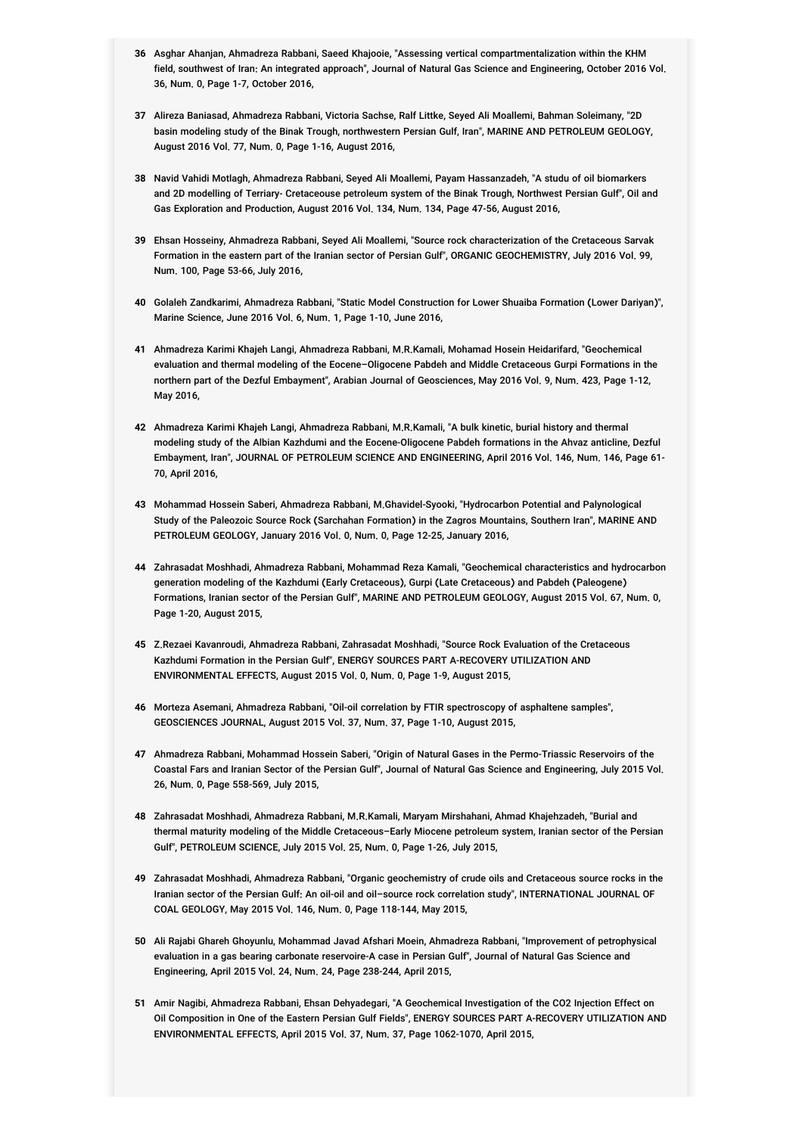- **36** Asghar Ahanjan, Ahmadreza Rabbani, Saeed Khajooie, "Assessing vertical compartmentalization within the KHM field, southwest of Iran: An integrated approach", Journal of Natural Gas Science and Engineering, October 2016 Vol. 36, Num. 0, Page 1-7, October 2016,
- **37** Alireza Baniasad, Ahmadreza Rabbani, Victoria Sachse, Ralf Littke, Seyed Ali Moallemi, Bahman Soleimany, "2D basin modeling study of the Binak Trough, northwestern Persian Gulf, Iran", MARINE AND PETROLEUM GEOLOGY, August 2016 Vol. 77, Num. 0, Page 1-16, August 2016,
- **38** Navid Vahidi Motlagh, Ahmadreza Rabbani, Seyed Ali Moallemi, Payam Hassanzadeh, "A studu of oil biomarkers and 2D modelling of Terriary- Cretaceouse petroleum system of the Binak Trough, Northwest Persian Gulf", Oil and Gas Exploration and Production, August 2016 Vol. 134, Num. 134, Page 47-56, August 2016,
- **39** Ehsan Hosseiny, Ahmadreza Rabbani, Seyed Ali Moallemi, "Source rock characterization of the Cretaceous Sarvak Formation in the eastern part of the Iranian sector of Persian Gulf", ORGANIC GEOCHEMISTRY, July 2016 Vol. 99, Num. 100, Page 53-66, July 2016,
- **40** Golaleh Zandkarimi, Ahmadreza Rabbani, "Static Model Construction for Lower Shuaiba Formation (Lower Dariyan)", Marine Science, June 2016 Vol. 6, Num. 1, Page 1-10, June 2016,
- **41** Ahmadreza Karimi Khajeh Langi, Ahmadreza Rabbani, M.R.Kamali, Mohamad Hosein Heidarifard, "Geochemical evaluation and thermal modeling of the Eocene–Oligocene Pabdeh and Middle Cretaceous Gurpi Formations in the northern part of the Dezful Embayment", Arabian Journal of Geosciences, May 2016 Vol. 9, Num. 423, Page 1-12, May 2016,
- **42** Ahmadreza Karimi Khajeh Langi, Ahmadreza Rabbani, M.R.Kamali, "A bulk kinetic, burial history and thermal modeling study of the Albian Kazhdumi and the Eocene-Oligocene Pabdeh formations in the Ahvaz anticline, Dezful Embayment, Iran", JOURNAL OF PETROLEUM SCIENCE AND ENGINEERING, April 2016 Vol. 146, Num. 146, Page 61- 70, April 2016,
- **43** Mohammad Hossein Saberi, Ahmadreza Rabbani, M.Ghavidel-Syooki, "Hydrocarbon Potential and Palynological Study of the Paleozoic Source Rock (Sarchahan Formation) in the Zagros Mountains, Southern Iran", MARINE AND PETROLEUM GEOLOGY, January 2016 Vol. 0, Num. 0, Page 12-25, January 2016,
- **44** Zahrasadat Moshhadi, Ahmadreza Rabbani, Mohammad Reza Kamali, "Geochemical characteristics and hydrocarbon generation modeling of the Kazhdumi (Early Cretaceous), Gurpi (Late Cretaceous) and Pabdeh (Paleogene) Formations, Iranian sector of the Persian Gulf", MARINE AND PETROLEUM GEOLOGY, August 2015 Vol. 67, Num. 0, Page 1-20, August 2015,
- **45** Z.Rezaei Kavanroudi, Ahmadreza Rabbani, Zahrasadat Moshhadi, "Source Rock Evaluation of the Cretaceous Kazhdumi Formation in the Persian Gulf", ENERGY SOURCES PART A-RECOVERY UTILIZATION AND ENVIRONMENTAL EFFECTS, August 2015 Vol. 0, Num. 0, Page 1-9, August 2015,
- **46** Morteza Asemani, Ahmadreza Rabbani, "Oil-oil correlation by FTIR spectroscopy of asphaltene samples", GEOSCIENCES JOURNAL, August 2015 Vol. 37, Num. 37, Page 1-10, August 2015,
- **47** Ahmadreza Rabbani, Mohammad Hossein Saberi, "Origin of Natural Gases in the Permo-Triassic Reservoirs of the Coastal Fars and Iranian Sector of the Persian Gulf", Journal of Natural Gas Science and Engineering, July 2015 Vol. 26, Num. 0, Page 558-569, July 2015,
- **48** Zahrasadat Moshhadi, Ahmadreza Rabbani, M.R.Kamali, Maryam Mirshahani, Ahmad Khajehzadeh, "Burial and thermal maturity modeling of the Middle Cretaceous–Early Miocene petroleum system, Iranian sector of the Persian Gulf", PETROLEUM SCIENCE, July 2015 Vol. 25, Num. 0, Page 1-26, July 2015,
- **49** Zahrasadat Moshhadi, Ahmadreza Rabbani, "Organic geochemistry of crude oils and Cretaceous source rocks in the Iranian sector of the Persian Gulf: An oil-oil and oil–source rock correlation study", INTERNATIONAL JOURNAL OF COAL GEOLOGY, May 2015 Vol. 146, Num. 0, Page 118-144, May 2015,
- **50** Ali Rajabi Ghareh Ghoyunlu, Mohammad Javad Afshari Moein, Ahmadreza Rabbani, "Improvement of petrophysical evaluation in a gas bearing carbonate reservoire-A case in Persian Gulf", Journal of Natural Gas Science and Engineering, April 2015 Vol. 24, Num. 24, Page 238-244, April 2015,
- **51** Amir Nagibi, Ahmadreza Rabbani, Ehsan Dehyadegari, "A Geochemical Investigation of the CO2 Injection Effect on Oil Composition in One of the Eastern Persian Gulf Fields", ENERGY SOURCES PART A-RECOVERY UTILIZATION AND ENVIRONMENTAL EFFECTS, April 2015 Vol. 37, Num. 37, Page 1062-1070, April 2015,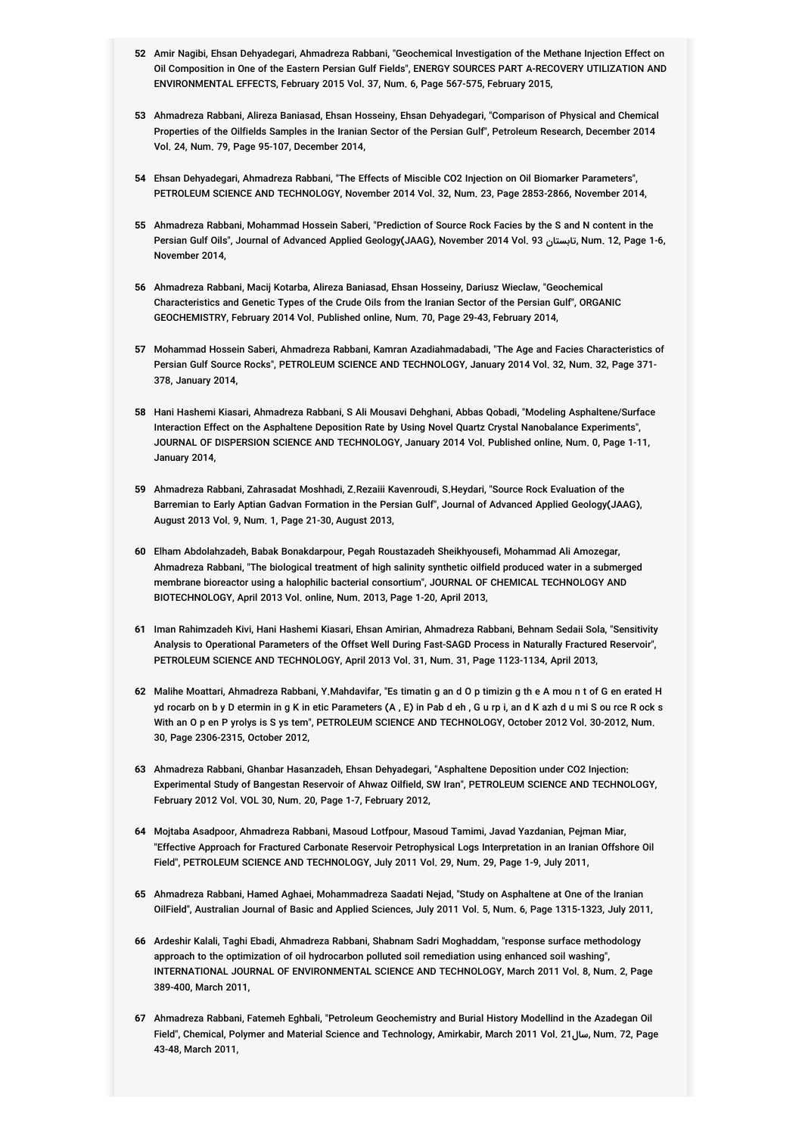- **52** Amir Nagibi, Ehsan Dehyadegari, Ahmadreza Rabbani, "Geochemical Investigation of the Methane Injection Effect on Oil Composition in One of the Eastern Persian Gulf Fields", ENERGY SOURCES PART A-RECOVERY UTILIZATION AND ENVIRONMENTAL EFFECTS, February 2015 Vol. 37, Num. 6, Page 567-575, February 2015,
- **53** Ahmadreza Rabbani, Alireza Baniasad, Ehsan Hosseiny, Ehsan Dehyadegari, "Comparison of Physical and Chemical Properties of the Oilfields Samples in the Iranian Sector of the Persian Gulf", Petroleum Research, December 2014 Vol. 24, Num. 79, Page 95-107, December 2014,
- **54** Ehsan Dehyadegari, Ahmadreza Rabbani, "The Effects of Miscible CO2 Injection on Oil Biomarker Parameters", PETROLEUM SCIENCE AND TECHNOLOGY, November 2014 Vol. 32, Num. 23, Page 2853-2866, November 2014,
- **55** Ahmadreza Rabbani, Mohammad Hossein Saberi, "Prediction of Source Rock Facies by the S and N content in the Persian Gulf Oils", Journal of Advanced Applied Geology(JAAG), November 2014 Vol. 93 تابستان, Num. 12, Page 1-6, November 2014,
- **56** Ahmadreza Rabbani, Macij Kotarba, Alireza Baniasad, Ehsan Hosseiny, Dariusz Wieclaw, "Geochemical Characteristics and Genetic Types of the Crude Oils from the Iranian Sector of the Persian Gulf", ORGANIC GEOCHEMISTRY, February 2014 Vol. Published online, Num. 70, Page 29-43, February 2014,
- **57** Mohammad Hossein Saberi, Ahmadreza Rabbani, Kamran Azadiahmadabadi, "The Age and Facies Characteristics of Persian Gulf Source Rocks", PETROLEUM SCIENCE AND TECHNOLOGY, January 2014 Vol. 32, Num. 32, Page 371- 378, January 2014,
- **58** Hani Hashemi Kiasari, Ahmadreza Rabbani, S Ali Mousavi Dehghani, Abbas Qobadi, "Modeling Asphaltene/Surface Interaction Effect on the Asphaltene Deposition Rate by Using Novel Quartz Crystal Nanobalance Experiments", JOURNAL OF DISPERSION SCIENCE AND TECHNOLOGY, January 2014 Vol. Published online, Num. 0, Page 1-11, January 2014,
- **59** Ahmadreza Rabbani, Zahrasadat Moshhadi, Z.Rezaiii Kavenroudi, S.Heydari, "Source Rock Evaluation of the Barremian to Early Aptian Gadvan Formation in the Persian Gulf", Journal of Advanced Applied Geology(JAAG), August 2013 Vol. 9, Num. 1, Page 21-30, August 2013,
- **60** Elham Abdolahzadeh, Babak Bonakdarpour, Pegah Roustazadeh Sheikhyousefi, Mohammad Ali Amozegar, Ahmadreza Rabbani, "The biological treatment of high salinity synthetic oilfield produced water in a submerged membrane bioreactor using a halophilic bacterial consortium", JOURNAL OF CHEMICAL TECHNOLOGY AND BIOTECHNOLOGY, April 2013 Vol. online, Num. 2013, Page 1-20, April 2013,
- **61** Iman Rahimzadeh Kivi, Hani Hashemi Kiasari, Ehsan Amirian, Ahmadreza Rabbani, Behnam Sedaii Sola, "Sensitivity Analysis to Operational Parameters of the Offset Well During Fast-SAGD Process in Naturally Fractured Reservoir", PETROLEUM SCIENCE AND TECHNOLOGY, April 2013 Vol. 31, Num. 31, Page 1123-1134, April 2013,
- **62** Malihe Moattari, Ahmadreza Rabbani, Y.Mahdavifar, "Es timatin g an d O p timizin g th e A mou n t of G en erated H yd rocarb on b y D etermin in g K in etic Parameters (A, E) in Pab d eh, G u rp i, an d K azh d u mi S ou rce R ock s With an O p en P yrolys is S ys tem", PETROLEUM SCIENCE AND TECHNOLOGY, October 2012 Vol. 30-2012, Num. 30, Page 2306-2315, October 2012,
- **63** Ahmadreza Rabbani, Ghanbar Hasanzadeh, Ehsan Dehyadegari, "Asphaltene Deposition under CO2 Injection: Experimental Study of Bangestan Reservoir of Ahwaz Oilfield, SW Iran", PETROLEUM SCIENCE AND TECHNOLOGY, February 2012 Vol. VOL 30, Num. 20, Page 1-7, February 2012,
- **64** Mojtaba Asadpoor, Ahmadreza Rabbani, Masoud Lotfpour, Masoud Tamimi, Javad Yazdanian, Pejman Miar, "Effective Approach for Fractured Carbonate Reservoir Petrophysical Logs Interpretation in an Iranian Offshore Oil Field", PETROLEUM SCIENCE AND TECHNOLOGY, July 2011 Vol. 29, Num. 29, Page 1-9, July 2011,
- **65** Ahmadreza Rabbani, Hamed Aghaei, Mohammadreza Saadati Nejad, "Study on Asphaltene at One of the Iranian OilField", Australian Journal of Basic and Applied Sciences, July 2011 Vol. 5, Num. 6, Page 1315-1323, July 2011,
- **66** Ardeshir Kalali, Taghi Ebadi, Ahmadreza Rabbani, Shabnam Sadri Moghaddam, "response surface methodology approach to the optimization of oil hydrocarbon polluted soil remediation using enhanced soil washing", INTERNATIONAL JOURNAL OF ENVIRONMENTAL SCIENCE AND TECHNOLOGY, March 2011 Vol. 8, Num. 2, Page 389-400, March 2011,
- **67** Ahmadreza Rabbani, Fatemeh Eghbali, "Petroleum Geochemistry and Burial History Modellind in the Azadegan Oil Field", Chemical, Polymer and Material Science and Technology, Amirkabir, March 2011 Vol. 21سال, Num. 72, Page 43-48, March 2011,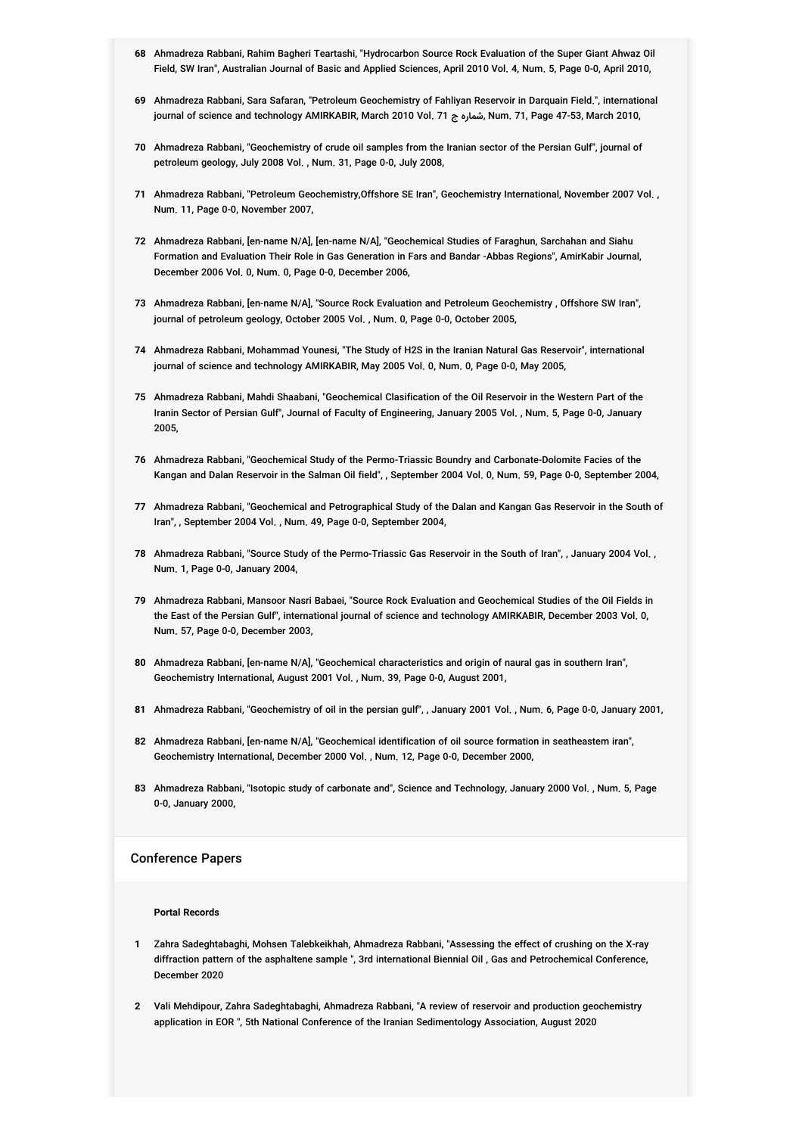- **68** Ahmadreza Rabbani, Rahim Bagheri Teartashi, "Hydrocarbon Source Rock Evaluation of the Super Giant Ahwaz Oil Field, SW Iran", Australian Journal of Basic and Applied Sciences, April 2010 Vol. 4, Num. 5, Page 0-0, April 2010,
- **69** Ahmadreza Rabbani, Sara Safaran, "Petroleum Geochemistry of Fahliyan Reservoir in Darquain Field.", international journal of science and technology AMIRKABIR, March 2010 Vol. 71 ج شماره, Num. 71, Page 47-53, March 2010,
- **70** Ahmadreza Rabbani, "Geochemistry of crude oil samples from the Iranian sector of the Persian Gulf", journal of petroleum geology, July 2008 Vol. , Num. 31, Page 0-0, July 2008,
- **71** Ahmadreza Rabbani, "Petroleum Geochemistry,Offshore SE Iran", Geochemistry International, November 2007 Vol. , Num. 11, Page 0-0, November 2007,
- **72** Ahmadreza Rabbani, [en-name N/A], [en-name N/A], "Geochemical Studies of Faraghun, Sarchahan and Siahu Formation and Evaluation Their Role in Gas Generation in Fars and Bandar -Abbas Regions", AmirKabir Journal, December 2006 Vol. 0, Num. 0, Page 0-0, December 2006,
- **73** Ahmadreza Rabbani, [en-name N/A], "Source Rock Evaluation and Petroleum Geochemistry , Offshore SW Iran", journal of petroleum geology, October 2005 Vol. , Num. 0, Page 0-0, October 2005,
- **74** Ahmadreza Rabbani, Mohammad Younesi, "The Study of H2S in the Iranian Natural Gas Reservoir", international journal of science and technology AMIRKABIR, May 2005 Vol. 0, Num. 0, Page 0-0, May 2005,
- **75** Ahmadreza Rabbani, Mahdi Shaabani, "Geochemical Clasification of the Oil Reservoir in the Western Part of the Iranin Sector of Persian Gulf", Journal of Faculty of Engineering, January 2005 Vol. , Num. 5, Page 0-0, January 2005,
- **76** Ahmadreza Rabbani, "Geochemical Study of the Permo-Triassic Boundry and Carbonate-Dolomite Facies of the Kangan and Dalan Reservoir in the Salman Oil field", , September 2004 Vol. 0, Num. 59, Page 0-0, September 2004,
- **77** Ahmadreza Rabbani, "Geochemical and Petrographical Study of the Dalan and Kangan Gas Reservoir in the South of Iran", , September 2004 Vol. , Num. 49, Page 0-0, September 2004,
- **78** Ahmadreza Rabbani, "Source Study of the Permo-Triassic Gas Reservoir in the South of Iran", , January 2004 Vol. , Num. 1, Page 0-0, January 2004,
- **79** Ahmadreza Rabbani, Mansoor Nasri Babaei, "Source Rock Evaluation and Geochemical Studies of the Oil Fields in the East of the Persian Gulf", international journal of science and technology AMIRKABIR, December 2003 Vol. 0, Num. 57, Page 0-0, December 2003,
- **80** Ahmadreza Rabbani, [en-name N/A], "Geochemical characteristics and origin of naural gas in southern Iran", Geochemistry International, August 2001 Vol. , Num. 39, Page 0-0, August 2001,
- **81** Ahmadreza Rabbani, "Geochemistry of oil in the persian gulf", , January 2001 Vol. , Num. 6, Page 0-0, January 2001,
- **82** Ahmadreza Rabbani, [en-name N/A], "Geochemical identification of oil source formation in seatheastem iran", Geochemistry International, December 2000 Vol. , Num. 12, Page 0-0, December 2000,
- **83** Ahmadreza Rabbani, "Isotopic study of carbonate and", Science and Technology, January 2000 Vol. , Num. 5, Page 0-0, January 2000,

### Conference Papers

#### **Portal Records**

- **1** Zahra Sadeghtabaghi, Mohsen Talebkeikhah, Ahmadreza Rabbani, "Assessing the effect of crushing on the X-ray diffraction pattern of the asphaltene sample ", 3rd international Biennial Oil , Gas and Petrochemical Conference, December 2020
- **2** Vali Mehdipour, Zahra Sadeghtabaghi, Ahmadreza Rabbani, "A review of reservoir and production geochemistry application in EOR ", 5th National Conference of the Iranian Sedimentology Association, August 2020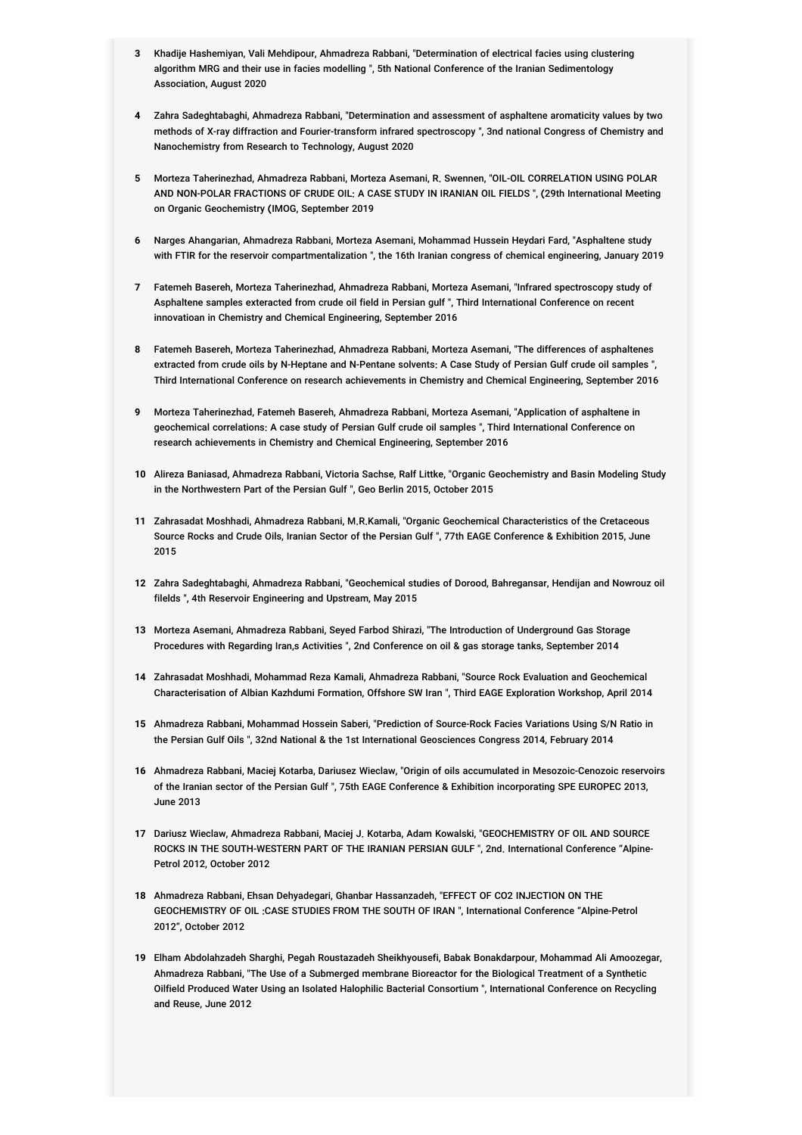- **3** Khadije Hashemiyan, Vali Mehdipour, Ahmadreza Rabbani, "Determination of electrical facies using clustering algorithm MRG and their use in facies modelling ", 5th National Conference of the Iranian Sedimentology Association, August 2020
- **4** Zahra Sadeghtabaghi, Ahmadreza Rabbani, "Determination and assessment of asphaltene aromaticity values by two methods of X-ray diffraction and Fourier-transform infrared spectroscopy ", 3nd national Congress of Chemistry and Nanochemistry from Research to Technology, August 2020
- **5** Morteza Taherinezhad, Ahmadreza Rabbani, Morteza Asemani, R. Swennen, "OIL-OIL CORRELATION USING POLAR AND NON-POLAR FRACTIONS OF CRUDE OIL: A CASE STUDY IN IRANIAN OIL FIELDS ", (29th International Meeting on Organic Geochemistry (IMOG, September 2019
- **6** Narges Ahangarian, Ahmadreza Rabbani, Morteza Asemani, Mohammad Hussein Heydari Fard, "Asphaltene study with FTIR for the reservoir compartmentalization ", the 16th Iranian congress of chemical engineering, January 2019
- **7** Fatemeh Basereh, Morteza Taherinezhad, Ahmadreza Rabbani, Morteza Asemani, "Infrared spectroscopy study of Asphaltene samples exteracted from crude oil field in Persian gulf ", Third International Conference on recent innovatioan in Chemistry and Chemical Engineering, September 2016
- **8** Fatemeh Basereh, Morteza Taherinezhad, Ahmadreza Rabbani, Morteza Asemani, "The differences of asphaltenes extracted from crude oils by N-Heptane and N-Pentane solvents: A Case Study of Persian Gulf crude oil samples ", Third International Conference on research achievements in Chemistry and Chemical Engineering, September 2016
- **9** Morteza Taherinezhad, Fatemeh Basereh, Ahmadreza Rabbani, Morteza Asemani, "Application of asphaltene in geochemical correlations: A case study of Persian Gulf crude oil samples ", Third International Conference on research achievements in Chemistry and Chemical Engineering, September 2016
- **10** Alireza Baniasad, Ahmadreza Rabbani, Victoria Sachse, Ralf Littke, "Organic Geochemistry and Basin Modeling Study in the Northwestern Part of the Persian Gulf ", Geo Berlin 2015, October 2015
- **11** Zahrasadat Moshhadi, Ahmadreza Rabbani, M.R.Kamali, "Organic Geochemical Characteristics of the Cretaceous Source Rocks and Crude Oils, Iranian Sector of the Persian Gulf ", 77th EAGE Conference & Exhibition 2015, June 2015
- **12** Zahra Sadeghtabaghi, Ahmadreza Rabbani, "Geochemical studies of Dorood, Bahregansar, Hendijan and Nowrouz oil filelds ", 4th Reservoir Engineering and Upstream, May 2015
- **13** Morteza Asemani, Ahmadreza Rabbani, Seyed Farbod Shirazi, "The Introduction of Underground Gas Storage Procedures with Regarding Iran,s Activities ", 2nd Conference on oil & gas storage tanks, September 2014
- **14** Zahrasadat Moshhadi, Mohammad Reza Kamali, Ahmadreza Rabbani, "Source Rock Evaluation and Geochemical Characterisation of Albian Kazhdumi Formation, Offshore SW Iran ", Third EAGE Exploration Workshop, April 2014
- **15** Ahmadreza Rabbani, Mohammad Hossein Saberi, "Prediction of Source-Rock Facies Variations Using S/N Ratio in the Persian Gulf Oils ", 32nd National & the 1st International Geosciences Congress 2014, February 2014
- **16** Ahmadreza Rabbani, Maciej Kotarba, Dariusez Wieclaw, "Origin of oils accumulated in Mesozoic-Cenozoic reservoirs of the Iranian sector of the Persian Gulf ", 75th EAGE Conference & Exhibition incorporating SPE EUROPEC 2013, June 2013
- **17** Dariusz Wieclaw, Ahmadreza Rabbani, Maciej J. Kotarba, Adam Kowalski, "GEOCHEMISTRY OF OIL AND SOURCE ROCKS IN THE SOUTH-WESTERN PART OF THE IRANIAN PERSIAN GULF ", 2nd. International Conference "Alpine-Petrol 2012, October 2012
- **18** Ahmadreza Rabbani, Ehsan Dehyadegari, Ghanbar Hassanzadeh, "EFFECT OF CO2 INJECTION ON THE GEOCHEMISTRY OF OIL :CASE STUDIES FROM THE SOUTH OF IRAN ", International Conference "Alpine-Petrol 2012", October 2012
- **19** Elham Abdolahzadeh Sharghi, Pegah Roustazadeh Sheikhyousefi, Babak Bonakdarpour, Mohammad Ali Amoozegar, Ahmadreza Rabbani, "The Use of a Submerged membrane Bioreactor for the Biological Treatment of a Synthetic Oilfield Produced Water Using an Isolated Halophilic Bacterial Consortium ", International Conference on Recycling and Reuse, June 2012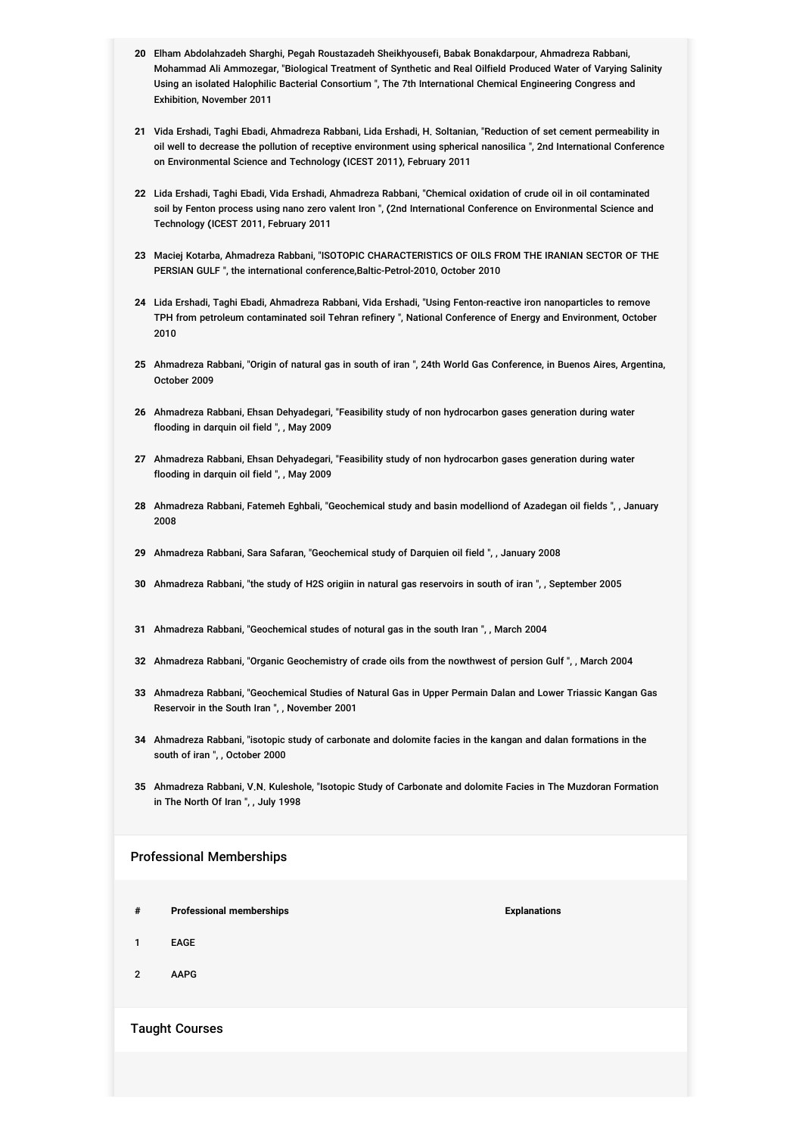- **20** Elham Abdolahzadeh Sharghi, Pegah Roustazadeh Sheikhyousefi, Babak Bonakdarpour, Ahmadreza Rabbani, Mohammad Ali Ammozegar, "Biological Treatment of Synthetic and Real Oilfield Produced Water of Varying Salinity Using an isolated Halophilic Bacterial Consortium ", The 7th International Chemical Engineering Congress and Exhibition, November 2011
- **21** Vida Ershadi, Taghi Ebadi, Ahmadreza Rabbani, Lida Ershadi, H. Soltanian, "Reduction of set cement permeability in oil well to decrease the pollution of receptive environment using spherical nanosilica ", 2nd International Conference on Environmental Science and Technology (ICEST 2011), February 2011
- **22** Lida Ershadi, Taghi Ebadi, Vida Ershadi, Ahmadreza Rabbani, "Chemical oxidation of crude oil in oil contaminated soil by Fenton process using nano zero valent Iron ", (2nd International Conference on Environmental Science and Technology (ICEST 2011, February 2011
- **23** Maciej Kotarba, Ahmadreza Rabbani, "ISOTOPIC CHARACTERISTICS OF OILS FROM THE IRANIAN SECTOR OF THE PERSIAN GULF ", the international conference,Baltic-Petrol-2010, October 2010
- **24** Lida Ershadi, Taghi Ebadi, Ahmadreza Rabbani, Vida Ershadi, "Using Fenton-reactive iron nanoparticles to remove TPH from petroleum contaminated soil Tehran refinery ", National Conference of Energy and Environment, October 2010
- **25** Ahmadreza Rabbani, "Origin of natural gas in south of iran ", 24th World Gas Conference, in Buenos Aires, Argentina, October 2009
- **26** Ahmadreza Rabbani, Ehsan Dehyadegari, "Feasibility study of non hydrocarbon gases generation during water flooding in darquin oil field ", , May 2009
- **27** Ahmadreza Rabbani, Ehsan Dehyadegari, "Feasibility study of non hydrocarbon gases generation during water flooding in darquin oil field ", , May 2009
- **28** Ahmadreza Rabbani, Fatemeh Eghbali, "Geochemical study and basin modelliond of Azadegan oil fields ", , January 2008
- **29** Ahmadreza Rabbani, Sara Safaran, "Geochemical study of Darquien oil field ", , January 2008
- **30** Ahmadreza Rabbani, "the study of H2S origiin in natural gas reservoirs in south of iran ", , September 2005
- **31** Ahmadreza Rabbani, "Geochemical studes of notural gas in the south Iran ", , March 2004
- **32** Ahmadreza Rabbani, "Organic Geochemistry of crade oils from the nowthwest of persion Gulf ", , March 2004
- **33** Ahmadreza Rabbani, "Geochemical Studies of Natural Gas in Upper Permain Dalan and Lower Triassic Kangan Gas Reservoir in the South Iran ", , November 2001
- **34** Ahmadreza Rabbani, "isotopic study of carbonate and dolomite facies in the kangan and dalan formations in the south of iran ", , October 2000
- **35** Ahmadreza Rabbani, V.N. Kuleshole, "Isotopic Study of Carbonate and dolomite Facies in The Muzdoran Formation in The North Of Iran", , July 1998

### Professional Memberships

- **# Professional memberships Explanations**
- 1 EAGE
- 2 AAPG

Taught Courses